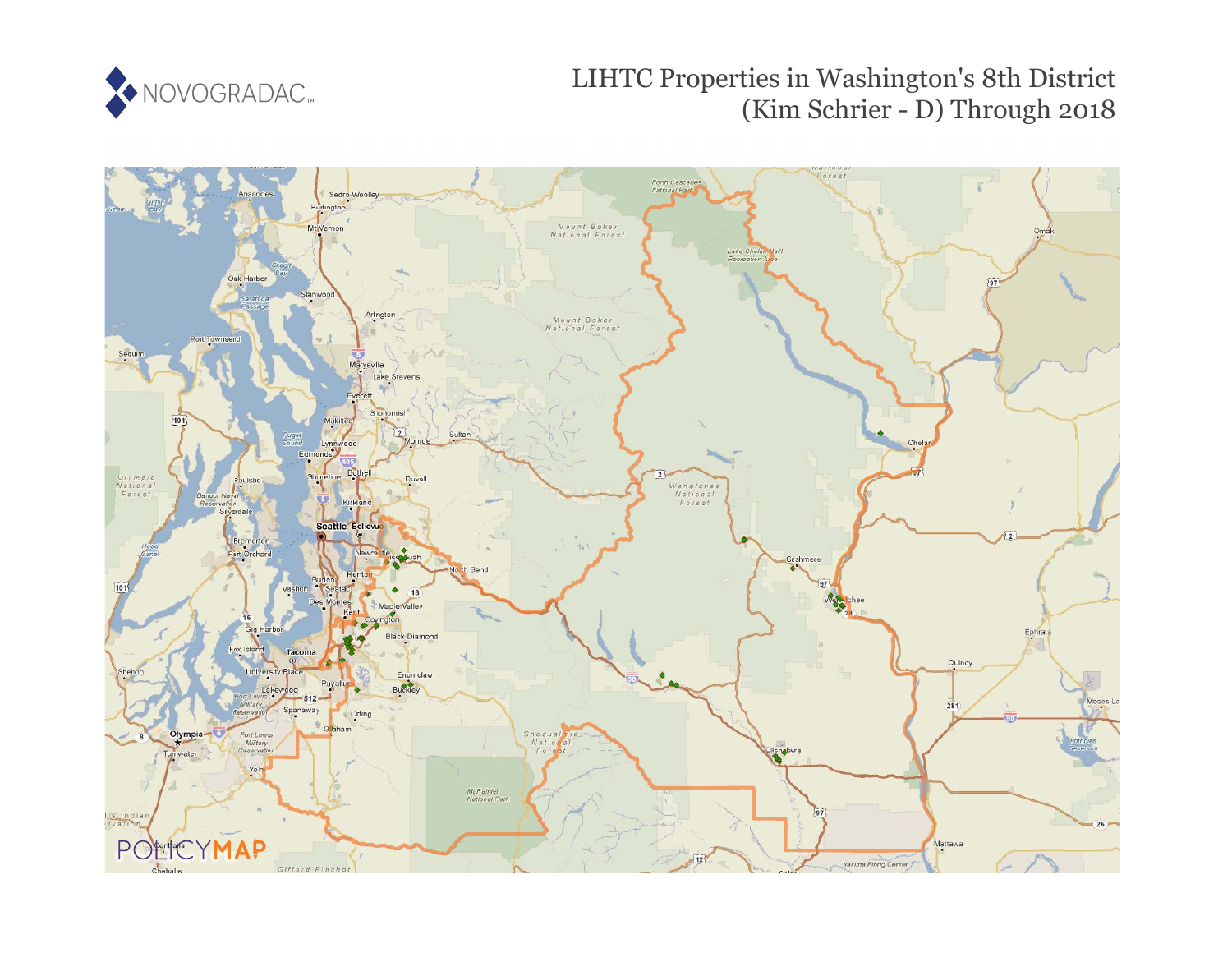

# LIHTC Properties in Washington's 8th District (Kim Schrier - D) Through 2018

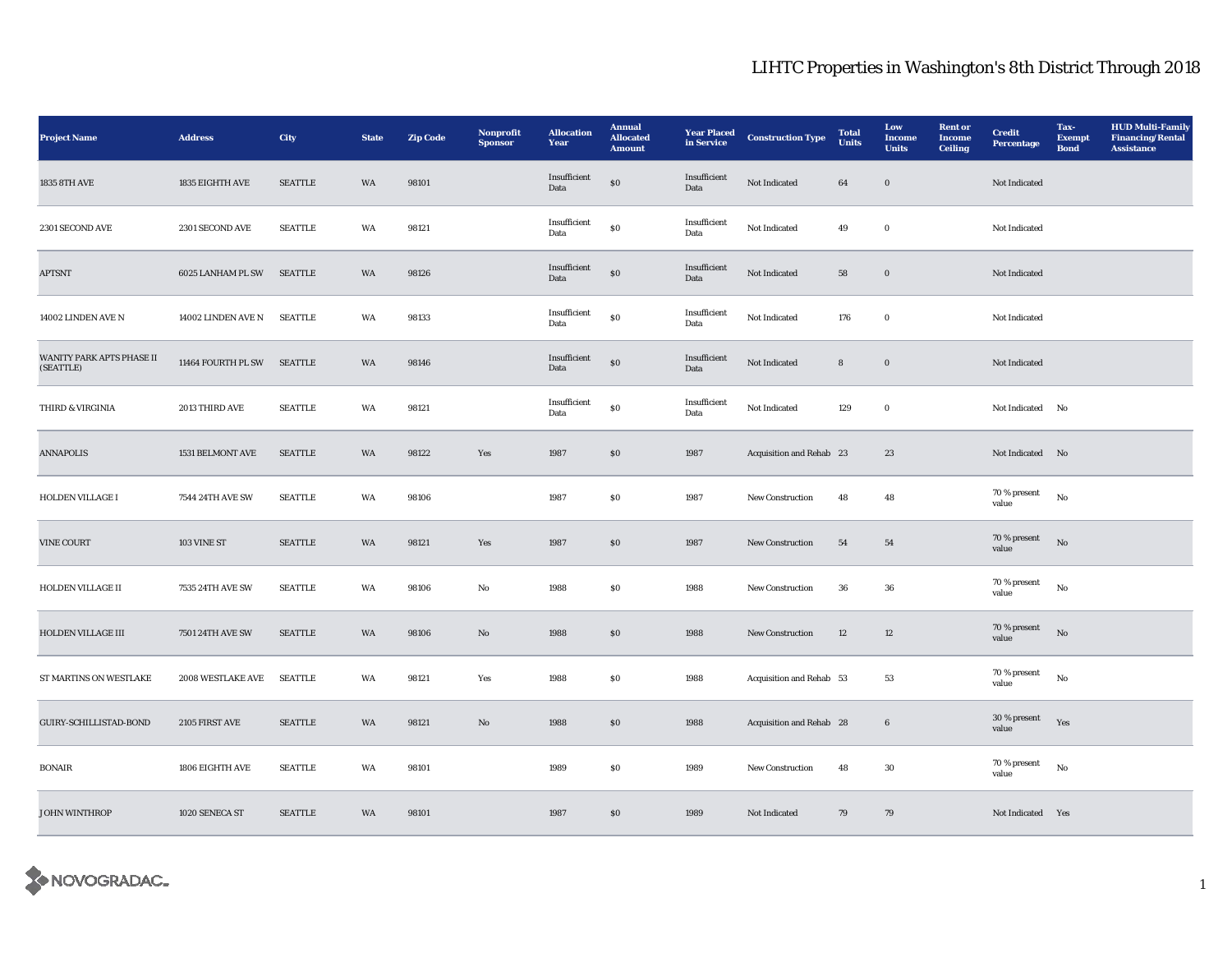| <b>Project Name</b>                    | <b>Address</b>     | <b>City</b>    | <b>State</b> | <b>Zip Code</b> | Nonprofit<br><b>Sponsor</b> | <b>Allocation</b><br>Year | <b>Annual</b><br><b>Allocated</b><br><b>Amount</b> | <b>Year Placed</b><br>in Service | <b>Construction Type</b> | <b>Total</b><br><b>Units</b> | Low<br>Income<br><b>Units</b> | <b>Rent or</b><br><b>Income</b><br><b>Ceiling</b> | <b>Credit</b><br><b>Percentage</b> | Tax-<br><b>Exempt</b><br><b>Bond</b> | <b>HUD Multi-Family</b><br><b>Financing/Rental</b><br><b>Assistance</b> |
|----------------------------------------|--------------------|----------------|--------------|-----------------|-----------------------------|---------------------------|----------------------------------------------------|----------------------------------|--------------------------|------------------------------|-------------------------------|---------------------------------------------------|------------------------------------|--------------------------------------|-------------------------------------------------------------------------|
| 1835 8TH AVE                           | 1835 EIGHTH AVE    | <b>SEATTLE</b> | WA           | 98101           |                             | Insufficient<br>Data      | $\boldsymbol{\mathsf{S}}\boldsymbol{\mathsf{O}}$   | Insufficient<br>Data             | Not Indicated            | $\bf{64}$                    | $\bf{0}$                      |                                                   | Not Indicated                      |                                      |                                                                         |
| 2301 SECOND AVE                        | 2301 SECOND AVE    | <b>SEATTLE</b> | WA           | 98121           |                             | Insufficient<br>Data      | $\$0$                                              | Insufficient<br>Data             | Not Indicated            | 49                           | $\bf{0}$                      |                                                   | Not Indicated                      |                                      |                                                                         |
| <b>APTSNT</b>                          | 6025 LANHAM PL SW  | <b>SEATTLE</b> | WA           | 98126           |                             | Insufficient<br>Data      | $\$0$                                              | Insufficient<br>Data             | Not Indicated            | 58                           | $\boldsymbol{0}$              |                                                   | Not Indicated                      |                                      |                                                                         |
| 14002 LINDEN AVE N                     | 14002 LINDEN AVE N | SEATTLE        | WA           | 98133           |                             | Insufficient<br>Data      | $\boldsymbol{\mathsf{S}}\boldsymbol{\mathsf{O}}$   | Insufficient<br>Data             | Not Indicated            | 176                          | $\bf{0}$                      |                                                   | Not Indicated                      |                                      |                                                                         |
| WANITY PARK APTS PHASE II<br>(SEATTLE) | 11464 FOURTH PL SW | <b>SEATTLE</b> | WA           | 98146           |                             | Insufficient<br>Data      | $\boldsymbol{\mathsf{S}}\boldsymbol{\mathsf{O}}$   | Insufficient<br>Data             | Not Indicated            | $\bf8$                       | $\boldsymbol{0}$              |                                                   | Not Indicated                      |                                      |                                                                         |
| THIRD & VIRGINIA                       | 2013 THIRD AVE     | <b>SEATTLE</b> | WA           | 98121           |                             | Insufficient<br>Data      | ${\bf S0}$                                         | Insufficient<br>Data             | Not Indicated            | 129                          | $\bf{0}$                      |                                                   | Not Indicated                      | No                                   |                                                                         |
| <b>ANNAPOLIS</b>                       | 1531 BELMONT AVE   | <b>SEATTLE</b> | WA           | 98122           | Yes                         | 1987                      | $\$0$                                              | 1987                             | Acquisition and Rehab 23 |                              | 23                            |                                                   | Not Indicated No                   |                                      |                                                                         |
| HOLDEN VILLAGE I                       | 7544 24TH AVE SW   | <b>SEATTLE</b> | WA           | 98106           |                             | 1987                      | $\$0$                                              | 1987                             | New Construction         | 48                           | 48                            |                                                   | 70 % present<br>value              | $_{\rm No}$                          |                                                                         |
| <b>VINE COURT</b>                      | 103 VINE ST        | <b>SEATTLE</b> | WA           | 98121           | Yes                         | 1987                      | \$0\$                                              | 1987                             | New Construction         | 54                           | ${\bf 54}$                    |                                                   | 70 % present<br>value              | No                                   |                                                                         |
| HOLDEN VILLAGE II                      | 7535 24TH AVE SW   | <b>SEATTLE</b> | WA           | 98106           | No                          | 1988                      | $\$0$                                              | 1988                             | <b>New Construction</b>  | 36                           | 36                            |                                                   | 70 % present<br>value              | No                                   |                                                                         |
| HOLDEN VILLAGE III                     | 7501 24TH AVE SW   | <b>SEATTLE</b> | WA           | 98106           | $\mathbf{No}$               | 1988                      | \$0                                                | 1988                             | New Construction         | $12\,$                       | $12\,$                        |                                                   | 70 % present<br>value              | $_{\rm No}$                          |                                                                         |
| ST MARTINS ON WESTLAKE                 | 2008 WESTLAKE AVE  | <b>SEATTLE</b> | WA           | 98121           | Yes                         | 1988                      | \$0\$                                              | 1988                             | Acquisition and Rehab 53 |                              | 53                            |                                                   | 70 % present<br>value              | No                                   |                                                                         |
| GUIRY-SCHILLISTAD-BOND                 | 2105 FIRST AVE     | <b>SEATTLE</b> | WA           | 98121           | No                          | 1988                      | \$0\$                                              | 1988                             | Acquisition and Rehab 28 |                              | $\bf 6$                       |                                                   | 30 % present<br>value              | Yes                                  |                                                                         |
| <b>BONAIR</b>                          | 1806 EIGHTH AVE    | <b>SEATTLE</b> | WA           | 98101           |                             | 1989                      | <b>SO</b>                                          | 1989                             | <b>New Construction</b>  | 48                           | 30                            |                                                   | 70 % present<br>value              | No                                   |                                                                         |
| <b>JOHN WINTHROP</b>                   | 1020 SENECA ST     | <b>SEATTLE</b> | WA           | 98101           |                             | 1987                      | \$0                                                | 1989                             | Not Indicated            | 79                           | 79                            |                                                   | Not Indicated Yes                  |                                      |                                                                         |

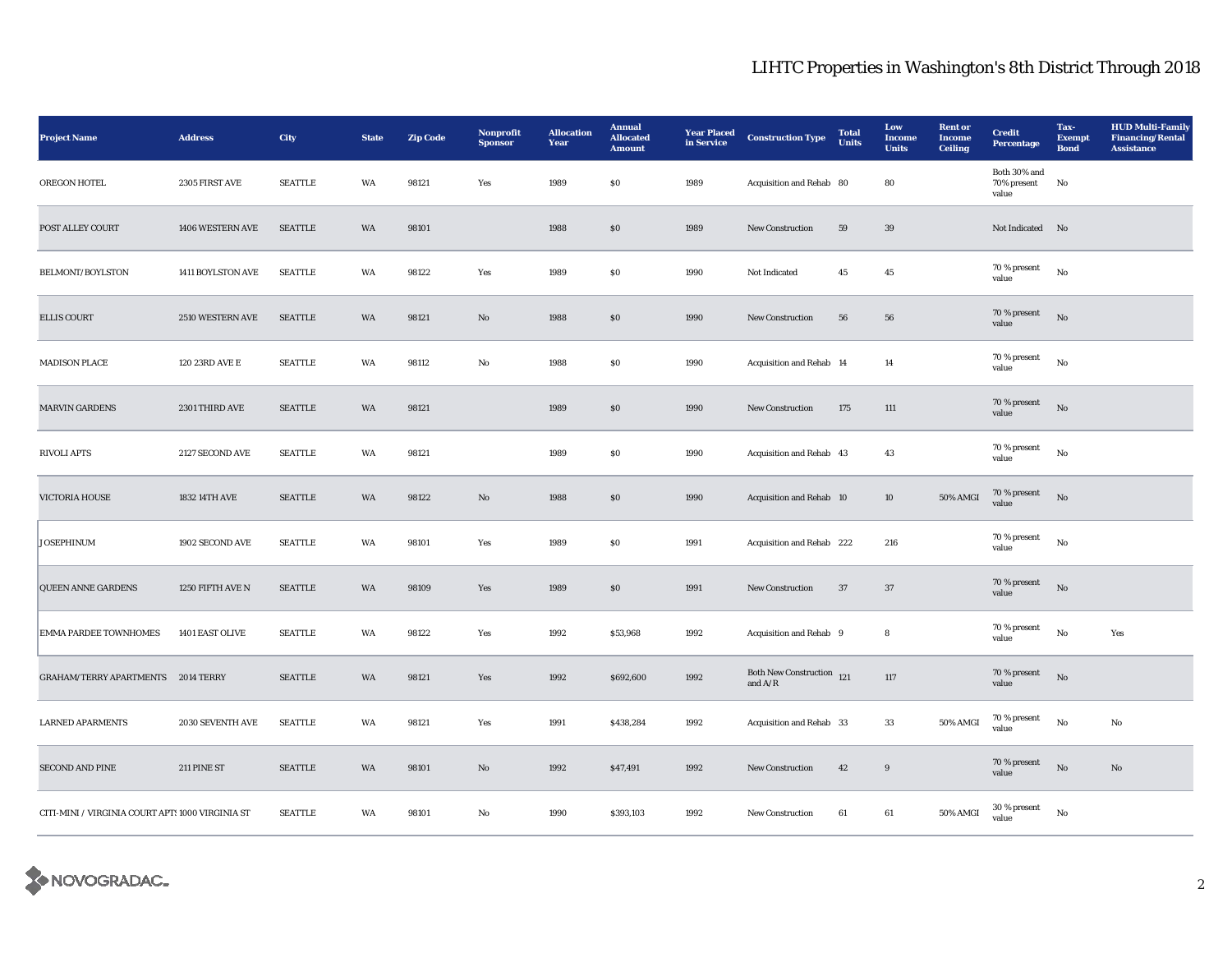| <b>Project Name</b>                              | <b>Address</b>    | <b>City</b>    | <b>State</b> | <b>Zip Code</b> | Nonprofit<br><b>Sponsor</b> | <b>Allocation</b><br>Year | <b>Annual</b><br><b>Allocated</b><br><b>Amount</b> | <b>Year Placed</b><br>in Service | <b>Construction Type</b>                         | <b>Total</b><br><b>Units</b> | Low<br><b>Income</b><br><b>Units</b> | <b>Rent or</b><br><b>Income</b><br><b>Ceiling</b> | <b>Credit</b><br><b>Percentage</b>   | Tax-<br><b>Exempt</b><br><b>Bond</b> | <b>HUD Multi-Family</b><br><b>Financing/Rental</b><br><b>Assistance</b> |
|--------------------------------------------------|-------------------|----------------|--------------|-----------------|-----------------------------|---------------------------|----------------------------------------------------|----------------------------------|--------------------------------------------------|------------------------------|--------------------------------------|---------------------------------------------------|--------------------------------------|--------------------------------------|-------------------------------------------------------------------------|
| OREGON HOTEL                                     | 2305 FIRST AVE    | <b>SEATTLE</b> | WA           | 98121           | Yes                         | 1989                      | $\$0$                                              | 1989                             | Acquisition and Rehab 80                         |                              | 80                                   |                                                   | Both 30% and<br>70% present<br>value | No                                   |                                                                         |
| POST ALLEY COURT                                 | 1406 WESTERN AVE  | <b>SEATTLE</b> | <b>WA</b>    | 98101           |                             | 1988                      | \$0\$                                              | 1989                             | <b>New Construction</b>                          | 59                           | 39                                   |                                                   | Not Indicated No                     |                                      |                                                                         |
| BELMONT/BOYLSTON                                 | 1411 BOYLSTON AVE | <b>SEATTLE</b> | WA           | 98122           | Yes                         | 1989                      | $\$0$                                              | 1990                             | Not Indicated                                    | $\bf 45$                     | $\bf 45$                             |                                                   | 70 % present<br>value                | No                                   |                                                                         |
| <b>ELLIS COURT</b>                               | 2510 WESTERN AVE  | <b>SEATTLE</b> | WA           | 98121           | $\mathbf{N}\mathbf{o}$      | 1988                      | ${\bf S0}$                                         | 1990                             | New Construction                                 | ${\bf 56}$                   | ${\bf 56}$                           |                                                   | 70 % present<br>value                | $_{\rm No}$                          |                                                                         |
| <b>MADISON PLACE</b>                             | 120 23RD AVE E    | <b>SEATTLE</b> | WA           | 98112           | No                          | 1988                      | $\$0$                                              | 1990                             | Acquisition and Rehab 14                         |                              | 14                                   |                                                   | 70 % present<br>value                | No                                   |                                                                         |
| <b>MARVIN GARDENS</b>                            | 2301 THIRD AVE    | <b>SEATTLE</b> | WA           | 98121           |                             | 1989                      | $\$0$                                              | 1990                             | <b>New Construction</b>                          | 175                          | 111                                  |                                                   | 70 % present<br>value                | $\rm No$                             |                                                                         |
| <b>RIVOLI APTS</b>                               | 2127 SECOND AVE   | <b>SEATTLE</b> | WA           | 98121           |                             | 1989                      | SO.                                                | 1990                             | Acquisition and Rehab 43                         |                              | 43                                   |                                                   | 70 % present<br>value                | $_{\rm No}$                          |                                                                         |
| VICTORIA HOUSE                                   | 1832 14TH AVE     | <b>SEATTLE</b> | WA           | 98122           | $\rm No$                    | 1988                      | $\$0$                                              | 1990                             | Acquisition and Rehab 10                         |                              | 10 <sup>10</sup>                     | <b>50% AMGI</b>                                   | 70 % present<br>value                | $\rm No$                             |                                                                         |
| <b>JOSEPHINUM</b>                                | 1902 SECOND AVE   | <b>SEATTLE</b> | WA           | 98101           | Yes                         | 1989                      | ${\bf S0}$                                         | 1991                             | Acquisition and Rehab 222                        |                              | 216                                  |                                                   | 70 % present<br>value                | $_{\rm No}$                          |                                                                         |
| <b>QUEEN ANNE GARDENS</b>                        | 1250 FIFTH AVE N  | <b>SEATTLE</b> | WA           | 98109           | Yes                         | 1989                      | $\$0$                                              | 1991                             | <b>New Construction</b>                          | 37                           | 37                                   |                                                   | 70 % present<br>value                | $\mathbf{N}\mathbf{o}$               |                                                                         |
| <b>EMMA PARDEE TOWNHOMES</b>                     | 1401 EAST OLIVE   | <b>SEATTLE</b> | WA           | 98122           | Yes                         | 1992                      | \$53,968                                           | 1992                             | Acquisition and Rehab 9                          |                              | 8                                    |                                                   | 70 % present<br>value                | No                                   | Yes                                                                     |
| GRAHAM/TERRY APARTMENTS 2014 TERRY               |                   | <b>SEATTLE</b> | WA           | 98121           | Yes                         | 1992                      | \$692,600                                          | 1992                             | Both New Construction $\,$ 121 $\,$<br>and $A/R$ |                              | $117\,$                              |                                                   | 70 % present<br>value                | $\rm No$                             |                                                                         |
| <b>LARNED APARMENTS</b>                          | 2030 SEVENTH AVE  | <b>SEATTLE</b> | WA           | 98121           | Yes                         | 1991                      | \$438,284                                          | 1992                             | Acquisition and Rehab 33                         |                              | 33                                   | 50% AMGI                                          | $70\,\%$ present<br>value            | No                                   | No                                                                      |
| <b>SECOND AND PINE</b>                           | 211 PINE ST       | <b>SEATTLE</b> | WA           | 98101           | $\mathbf{No}$               | 1992                      | \$47,491                                           | 1992                             | <b>New Construction</b>                          | 42                           | 9                                    |                                                   | 70 % present<br>value                | $\rm No$                             | No                                                                      |
| CITI-MINI / VIRGINIA COURT APT! 1000 VIRGINIA ST |                   | <b>SEATTLE</b> | WA           | 98101           | No                          | 1990                      | \$393,103                                          | 1992                             | <b>New Construction</b>                          | 61                           | 61                                   | <b>50% AMGI</b>                                   | $30\,\%$ present<br>value            | No                                   |                                                                         |

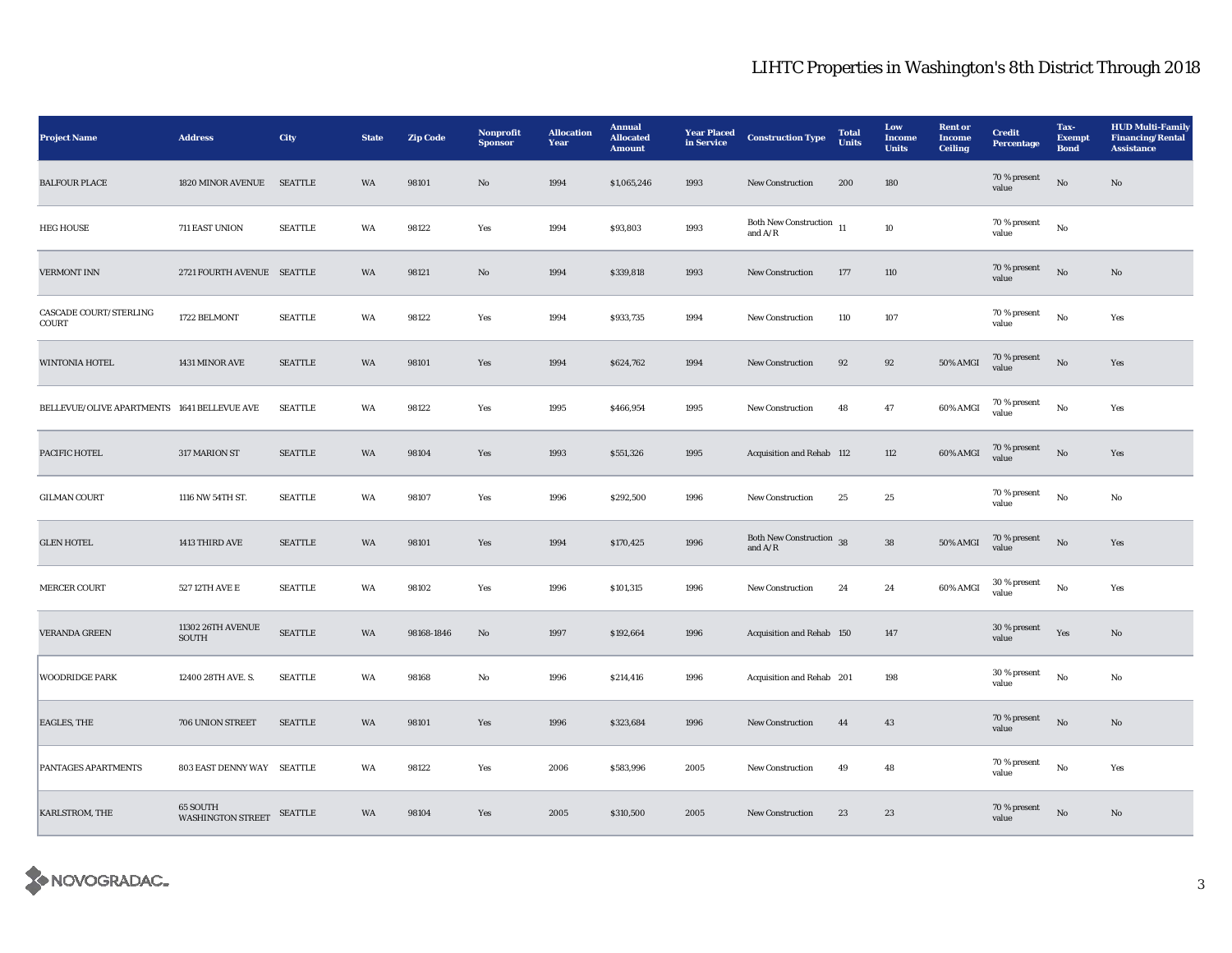| <b>Project Name</b>                         | <b>Address</b>                        | City           | <b>State</b> | <b>Zip Code</b> | Nonprofit<br><b>Sponsor</b> | <b>Allocation</b><br>Year | <b>Annual</b><br><b>Allocated</b><br><b>Amount</b> | <b>Year Placed</b><br>in Service | <b>Construction Type</b>                                              | <b>Total</b><br><b>Units</b> | Low<br>Income<br><b>Units</b> | <b>Rent or</b><br><b>Income</b><br><b>Ceiling</b> | <b>Credit</b><br><b>Percentage</b> | Tax-<br><b>Exempt</b><br><b>Bond</b> | <b>HUD Multi-Family</b><br><b>Financing/Rental</b><br><b>Assistance</b> |
|---------------------------------------------|---------------------------------------|----------------|--------------|-----------------|-----------------------------|---------------------------|----------------------------------------------------|----------------------------------|-----------------------------------------------------------------------|------------------------------|-------------------------------|---------------------------------------------------|------------------------------------|--------------------------------------|-------------------------------------------------------------------------|
| <b>BALFOUR PLACE</b>                        | 1820 MINOR AVENUE SEATTLE             |                | WA           | 98101           | No                          | 1994                      | \$1,065,246                                        | 1993                             | <b>New Construction</b>                                               | 200                          | 180                           |                                                   | 70 % present<br>value              | No                                   | No                                                                      |
| <b>HEG HOUSE</b>                            | 711 EAST UNION                        | <b>SEATTLE</b> | WA           | 98122           | Yes                         | 1994                      | \$93,803                                           | 1993                             | Both New Construction $\begin{array}{cc} 11 \end{array}$<br>and $A/R$ |                              | 10                            |                                                   | 70 % present<br>value              | $_{\rm No}$                          |                                                                         |
| <b>VERMONT INN</b>                          | 2721 FOURTH AVENUE SEATTLE            |                | WA           | 98121           | $\mathbf{N}\mathbf{o}$      | 1994                      | \$339,818                                          | 1993                             | New Construction                                                      | 177                          | 110                           |                                                   | 70 % present<br>value              | $_{\rm No}$                          | No                                                                      |
| CASCADE COURT/STERLING<br>COURT             | 1722 BELMONT                          | <b>SEATTLE</b> | WA           | 98122           | Yes                         | 1994                      | \$933,735                                          | 1994                             | New Construction                                                      | 110                          | 107                           |                                                   | 70 % present<br>value              | $_{\rm No}$                          | Yes                                                                     |
| WINTONIA HOTEL                              | 1431 MINOR AVE                        | <b>SEATTLE</b> | WA           | 98101           | Yes                         | 1994                      | \$624,762                                          | 1994                             | New Construction                                                      | 92                           | 92                            | <b>50% AMGI</b>                                   | 70 % present<br>value              | $\rm No$                             | Yes                                                                     |
| BELLEVUE/OLIVE APARTMENTS 1641 BELLEVUE AVE |                                       | <b>SEATTLE</b> | WA           | 98122           | Yes                         | 1995                      | \$466,954                                          | 1995                             | New Construction                                                      | 48                           | $\bf 47$                      | 60% AMGI                                          | 70 % present<br>value              | $_{\rm No}$                          | Yes                                                                     |
| PACIFIC HOTEL                               | 317 MARION ST                         | <b>SEATTLE</b> | WA           | 98104           | Yes                         | 1993                      | \$551,326                                          | 1995                             | Acquisition and Rehab 112                                             |                              | 112                           | 60% AMGI                                          | 70 % present<br>value              | No                                   | Yes                                                                     |
| <b>GILMAN COURT</b>                         | 1116 NW 54TH ST.                      | <b>SEATTLE</b> | WA           | 98107           | Yes                         | 1996                      | \$292,500                                          | 1996                             | New Construction                                                      | 25                           | 25                            |                                                   | 70 % present<br>value              | $_{\rm No}$                          | No                                                                      |
| <b>GLEN HOTEL</b>                           | 1413 THIRD AVE                        | <b>SEATTLE</b> | WA           | 98101           | Yes                         | 1994                      | \$170,425                                          | 1996                             | Both New Construction 38<br>and $\mathrm{A}/\mathrm{R}$               |                              | ${\bf 38}$                    | 50% AMGI                                          | 70 % present<br>value              | $\rm No$                             | Yes                                                                     |
| <b>MERCER COURT</b>                         | 527 12TH AVE E                        | <b>SEATTLE</b> | WA           | 98102           | Yes                         | 1996                      | \$101,315                                          | 1996                             | New Construction                                                      | 24                           | 24                            | 60% AMGI                                          | 30 % present<br>value              | No                                   | Yes                                                                     |
| <b>VERANDA GREEN</b>                        | 11302 26TH AVENUE<br><b>SOUTH</b>     | <b>SEATTLE</b> | WA           | 98168-1846      | $\mathbf{N}\mathbf{o}$      | 1997                      | \$192,664                                          | 1996                             | Acquisition and Rehab 150                                             |                              | 147                           |                                                   | 30 % present<br>value              | Yes                                  | No                                                                      |
| <b>WOODRIDGE PARK</b>                       | 12400 28TH AVE. S.                    | <b>SEATTLE</b> | WA           | 98168           | No                          | 1996                      | \$214,416                                          | 1996                             | Acquisition and Rehab 201                                             |                              | 198                           |                                                   | 30 % present<br>value              | $\mathbf{N}\mathbf{o}$               | No                                                                      |
| EAGLES, THE                                 | 706 UNION STREET                      | <b>SEATTLE</b> | WA           | 98101           | Yes                         | 1996                      | \$323,684                                          | 1996                             | New Construction                                                      | 44                           | 43                            |                                                   | 70 % present<br>value              | $_{\rm No}$                          | No                                                                      |
| PANTAGES APARTMENTS                         | 803 EAST DENNY WAY SEATTLE            |                | WA           | 98122           | Yes                         | 2006                      | \$583,996                                          | 2005                             | New Construction                                                      | 49                           | 48                            |                                                   | 70 % present<br>value              | No                                   | Yes                                                                     |
| KARLSTROM, THE                              | 65 SOUTH<br>WASHINGTON STREET SEATTLE |                | WA           | 98104           | Yes                         | 2005                      | \$310,500                                          | 2005                             | <b>New Construction</b>                                               | 23                           | 23                            |                                                   | 70 % present<br>value              | $\rm No$                             | No                                                                      |

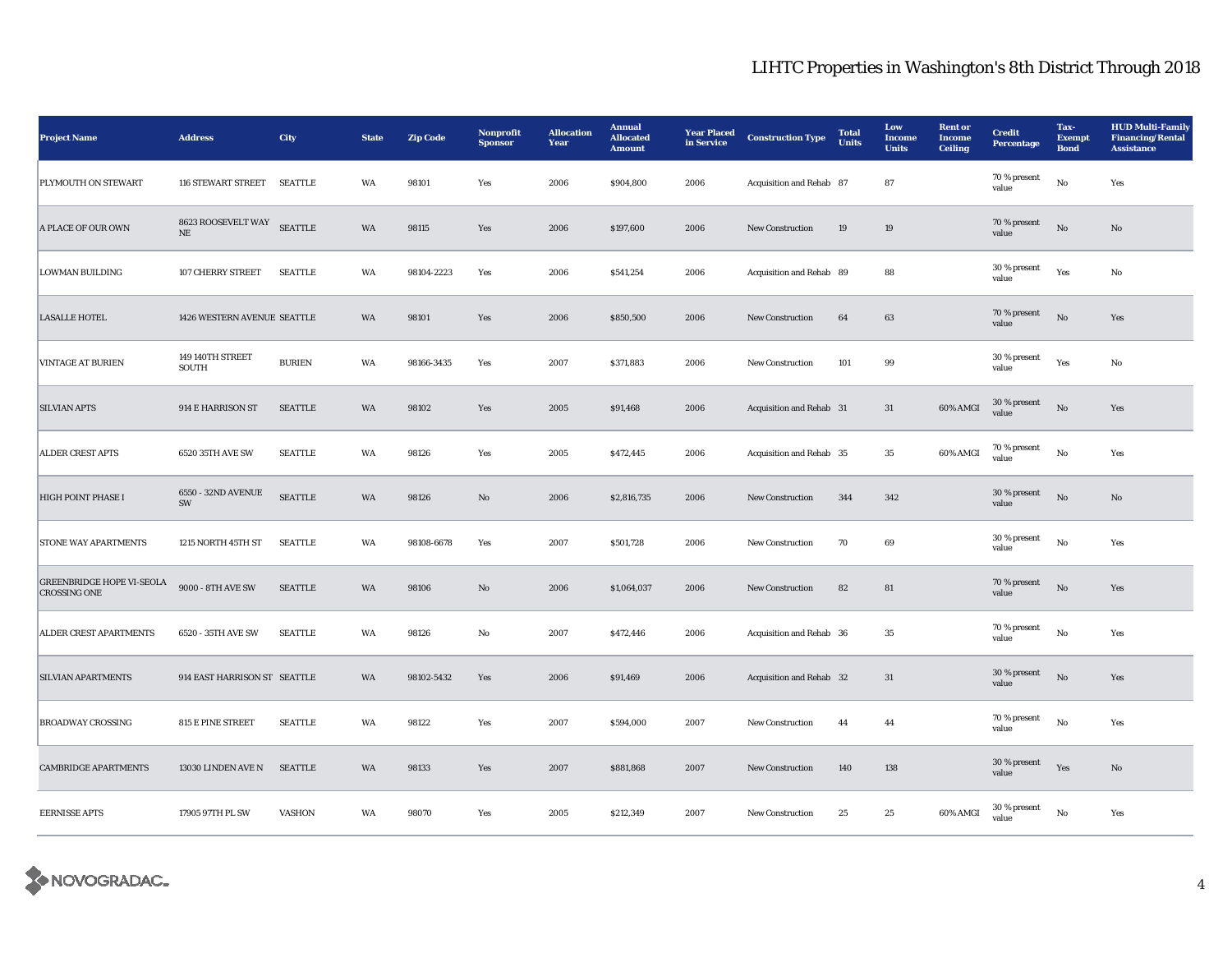| <b>Project Name</b>                                     | <b>Address</b>                  | City           | <b>State</b> | <b>Zip Code</b> | Nonprofit<br><b>Sponsor</b> | <b>Allocation</b><br>Year | <b>Annual</b><br><b>Allocated</b><br><b>Amount</b> | <b>Year Placed</b><br>in Service | <b>Construction Type</b> | <b>Total</b><br>Units | Low<br><b>Income</b><br><b>Units</b> | <b>Rent or</b><br><b>Income</b><br><b>Ceiling</b> | <b>Credit</b><br><b>Percentage</b> | Tax-<br>Exempt<br><b>Bond</b> | <b>HUD Multi-Family</b><br><b>Financing/Rental</b><br><b>Assistance</b> |
|---------------------------------------------------------|---------------------------------|----------------|--------------|-----------------|-----------------------------|---------------------------|----------------------------------------------------|----------------------------------|--------------------------|-----------------------|--------------------------------------|---------------------------------------------------|------------------------------------|-------------------------------|-------------------------------------------------------------------------|
| PLYMOUTH ON STEWART                                     | 116 STEWART STREET SEATTLE      |                | WA           | 98101           | Yes                         | 2006                      | \$904,800                                          | 2006                             | Acquisition and Rehab 87 |                       | 87                                   |                                                   | 70 % present<br>value              | No                            | Yes                                                                     |
| A PLACE OF OUR OWN                                      | 8623 ROOSEVELT WAY<br>$\rm{NE}$ | <b>SEATTLE</b> | WA           | 98115           | Yes                         | 2006                      | \$197,600                                          | 2006                             | <b>New Construction</b>  | 19                    | 19                                   |                                                   | 70 % present<br>value              | $\mathbf{N}\mathbf{o}$        | No                                                                      |
| <b>LOWMAN BUILDING</b>                                  | 107 CHERRY STREET               | <b>SEATTLE</b> | WA           | 98104-2223      | Yes                         | 2006                      | \$541,254                                          | 2006                             | Acquisition and Rehab 89 |                       | 88                                   |                                                   | 30 % present<br>value              | Yes                           | No                                                                      |
| <b>LASALLE HOTEL</b>                                    | 1426 WESTERN AVENUE SEATTLE     |                | WA           | 98101           | Yes                         | 2006                      | \$850,500                                          | 2006                             | New Construction         | 64                    | 63                                   |                                                   | 70 % present<br>value              | $_{\rm No}$                   | Yes                                                                     |
| <b>VINTAGE AT BURIEN</b>                                | 149 140TH STREET<br>SOUTH       | <b>BURIEN</b>  | WA           | 98166-3435      | Yes                         | 2007                      | \$371,883                                          | 2006                             | <b>New Construction</b>  | 101                   | 99                                   |                                                   | 30 % present<br>value              | Yes                           | No                                                                      |
| <b>SILVIAN APTS</b>                                     | 914 E HARRISON ST               | <b>SEATTLE</b> | WA           | 98102           | Yes                         | 2005                      | \$91,468                                           | 2006                             | Acquisition and Rehab 31 |                       | 31                                   | 60% AMGI                                          | 30 % present<br>value              | $_{\rm No}$                   | Yes                                                                     |
| <b>ALDER CREST APTS</b>                                 | 6520 35TH AVE SW                | <b>SEATTLE</b> | WA           | 98126           | Yes                         | 2005                      | \$472,445                                          | 2006                             | Acquisition and Rehab 35 |                       | 35                                   | 60% AMGI                                          | 70 % present<br>value              | $_{\rm No}$                   | Yes                                                                     |
| HIGH POINT PHASE I                                      | 6550 - 32ND AVENUE<br>SW        | <b>SEATTLE</b> | WA           | 98126           | No                          | 2006                      | \$2,816,735                                        | 2006                             | New Construction         | 344                   | 342                                  |                                                   | 30 % present<br>value              | $\rm No$                      | $\mathbf{N}\mathbf{o}$                                                  |
| <b>STONE WAY APARTMENTS</b>                             | 1215 NORTH 45TH ST              | <b>SEATTLE</b> | WA           | 98108-6678      | Yes                         | 2007                      | \$501,728                                          | 2006                             | <b>New Construction</b>  | 70                    | 69                                   |                                                   | 30 % present<br>value              | $_{\rm No}$                   | Yes                                                                     |
| <b>GREENBRIDGE HOPE VI-SEOLA</b><br><b>CROSSING ONE</b> | 9000 - 8TH AVE SW               | <b>SEATTLE</b> | <b>WA</b>    | 98106           | No                          | 2006                      | \$1,064,037                                        | 2006                             | <b>New Construction</b>  | 82                    | 81                                   |                                                   | 70 % present<br>value              | No                            | Yes                                                                     |
| <b>ALDER CREST APARTMENTS</b>                           | 6520 - 35TH AVE SW              | <b>SEATTLE</b> | WA           | 98126           | No                          | 2007                      | \$472,446                                          | 2006                             | Acquisition and Rehab 36 |                       | 35                                   |                                                   | 70 % present<br>value              | $_{\rm No}$                   | Yes                                                                     |
| <b>SILVIAN APARTMENTS</b>                               | 914 EAST HARRISON ST SEATTLE    |                | WA           | 98102-5432      | Yes                         | 2006                      | \$91,469                                           | 2006                             | Acquisition and Rehab 32 |                       | 31                                   |                                                   | $30\,\%$ present<br>value          | $_{\rm No}$                   | Yes                                                                     |
| <b>BROADWAY CROSSING</b>                                | 815 E PINE STREET               | <b>SEATTLE</b> | WA           | 98122           | Yes                         | 2007                      | \$594,000                                          | 2007                             | New Construction         | 44                    | 44                                   |                                                   | 70 % present<br>value              | No                            | Yes                                                                     |
| <b>CAMBRIDGE APARTMENTS</b>                             | 13030 LINDEN AVE N              | <b>SEATTLE</b> | <b>WA</b>    | 98133           | Yes                         | 2007                      | \$881,868                                          | 2007                             | <b>New Construction</b>  | 140                   | 138                                  |                                                   | 30 % present<br>value              | Yes                           | $\mathbf{N}\mathbf{o}$                                                  |
| <b>EERNISSE APTS</b>                                    | 17905 97TH PL SW                | <b>VASHON</b>  | WA           | 98070           | Yes                         | 2005                      | \$212,349                                          | 2007                             | <b>New Construction</b>  | 25                    | 25                                   | 60% AMGI                                          | 30 % present<br>value              | No                            | Yes                                                                     |